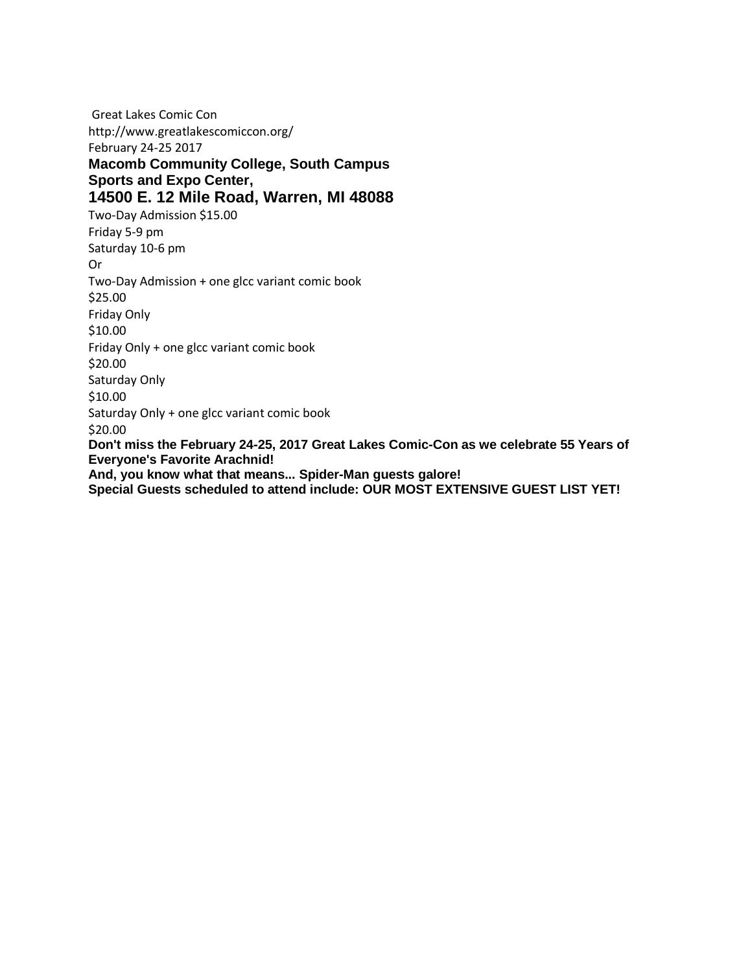Great Lakes Comic Con http://www.greatlakescomiccon.org/ February 24-25 2017 **Macomb Community College, South Campus Sports and Expo Center, 14500 E. 12 Mile Road, Warren, MI 48088**  Two-Day Admission \$15.00 Friday 5-9 pm Saturday 10-6 pm Or Two-Day Admission + one glcc variant comic book \$25.00 Friday Only \$10.00 Friday Only + one glcc variant comic book \$20.00 Saturday Only \$10.00 Saturday Only + one glcc variant comic book \$20.00 **Don't miss the February 24-25, 2017 Great Lakes Comic-Con as we celebrate 55 Years of Everyone's Favorite Arachnid! And, you know what that means... Spider-Man guests galore!** 

**Special Guests scheduled to attend include: OUR MOST EXTENSIVE GUEST LIST YET!**